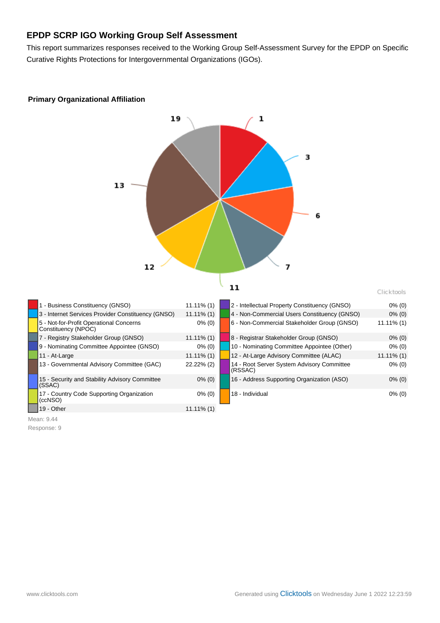# **EPDP SCRP IGO Working Group Self Assessment**

This report summarizes responses received to the Working Group Self-Assessment Survey for the EPDP on Specific Curative Rights Protections for Intergovernmental Organizations (IGOs).



# **Primary Organizational Affiliation**

Mean: 9.44 Response: 9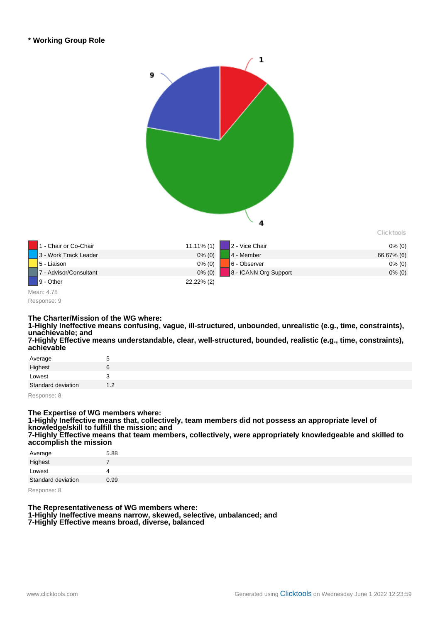

# **The Charter/Mission of the WG where:**

**1-Highly Ineffective means confusing, vague, ill-structured, unbounded, unrealistic (e.g., time, constraints), unachievable; and**

**7-Highly Effective means understandable, clear, well-structured, bounded, realistic (e.g., time, constraints), achievable**

| Average            | 5   |
|--------------------|-----|
| Highest            | 6   |
| Lowest             | з   |
| Standard deviation | 1.2 |
|                    |     |

Response: 8

### **The Expertise of WG members where:**

**1-Highly Ineffective means that, collectively, team members did not possess an appropriate level of knowledge/skill to fulfill the mission; and**

**7-Highly Effective means that team members, collectively, were appropriately knowledgeable and skilled to accomplish the mission**

| Average            | 5.88 |
|--------------------|------|
| Highest            | 7    |
| Lowest             | Δ    |
| Standard deviation | O.99 |

Response: 8

#### **The Representativeness of WG members where: 1-Highly Ineffective means narrow, skewed, selective, unbalanced; and 7-Highly Effective means broad, diverse, balanced**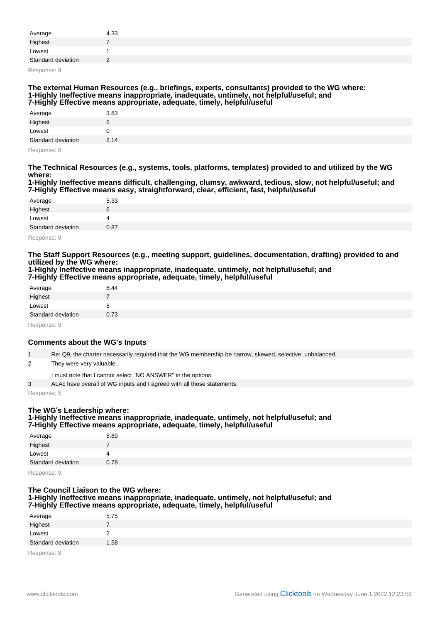| Average            | 4.33 |
|--------------------|------|
| Highest            |      |
| Lowest             |      |
| Standard deviation | -    |

Response: 9

#### **The external Human Resources (e.g., briefings, experts, consultants) provided to the WG where: 1-Highly Ineffective means inappropriate, inadequate, untimely, not helpful/useful; and 7-Highly Effective means appropriate, adequate, timely, helpful/useful**

| __<br>____         | ___<br>____<br>__<br>____ |
|--------------------|---------------------------|
| Average            | 3.83                      |
| Highest            | ь                         |
| Lowest             |                           |
| Standard deviation | 2.14                      |
|                    |                           |

Response: 6

**The Technical Resources (e.g., systems, tools, platforms, templates) provided to and utilized by the WG where:**

**1-Highly Ineffective means difficult, challenging, clumsy, awkward, tedious, slow, not helpful/useful; and 7-Highly Effective means easy, straightforward, clear, efficient, fast, helpful/useful**

| Average            | 5.33 |
|--------------------|------|
| Highest            |      |
| Lowest             |      |
| Standard deviation | 0.87 |
| $\sim$<br>$\sim$   |      |

Response: 9

**The Staff Support Resources (e.g., meeting support, guidelines, documentation, drafting) provided to and utilized by the WG where:**

**1-Highly Ineffective means inappropriate, inadequate, untimely, not helpful/useful; and 7-Highly Effective means appropriate, adequate, timely, helpful/useful**

| Average            | 6.44 |
|--------------------|------|
| Highest            |      |
| Lowest             |      |
| Standard deviation | 0.73 |
| $\sim$<br>$\sim$   |      |

Response: 9

## **Comments about the WG's Inputs**

1 Re: Q9, the charter necessarily required that the WG membership be narrow, skewed, selective, unbalanced.

2 They were very valuable.

I must note that I cannot select "NO ANSWER" in the options

3 ALAc have overall of WG inputs and I agreed with all those statements.

Response: 5

# **The WG**'**s Leadership where:**

#### **1-Highly Ineffective means inappropriate, inadequate, untimely, not helpful/useful; and 7-Highly Effective means appropriate, adequate, timely, helpful/useful**

| Average            | 5.89 |
|--------------------|------|
| Highest            |      |
| Lowest             |      |
| Standard deviation | 0.78 |

Response: 9

### **The Council Liaison to the WG where: 1-Highly Ineffective means inappropriate, inadequate, untimely, not helpful/useful; and 7-Highly Effective means appropriate, adequate, timely, helpful/useful**

| Average            | 5.75 |
|--------------------|------|
| Highest            |      |
| Lowest             |      |
| Standard deviation | .58  |
|                    |      |

Response: 8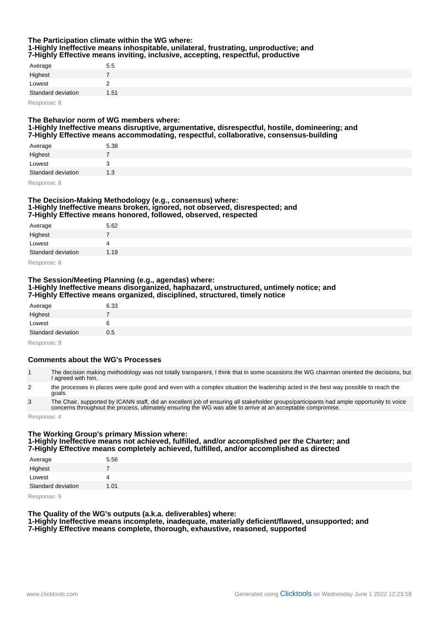### **The Participation climate within the WG where: 1-Highly Ineffective means inhospitable, unilateral, frustrating, unproductive; and 7-Highly Effective means inviting, inclusive, accepting, respectful, productive**

| Average            | 5.5  |
|--------------------|------|
| Highest            |      |
| Lowest             |      |
| Standard deviation | 1.51 |
| $\sim$ $\sim$      |      |

Response: 8

### **The Behavior norm of WG members where: 1-Highly Ineffective means disruptive, argumentative, disrespectful, hostile, domineering; and 7-Highly Effective means accommodating, respectful, collaborative, consensus-building**

| Average            | 5.38 |
|--------------------|------|
| Highest            |      |
| Lowest             |      |
| Standard deviation | 1.3  |
| <b>D</b> 0         |      |

Response: 8

### **The Decision-Making Methodology (e.g., consensus) where: 1-Highly Ineffective means broken, ignored, not observed, disrespected; and 7-Highly Effective means honored, followed, observed, respected**

| Average            | 5.62 |
|--------------------|------|
| Highest            |      |
| Lowest             |      |
| Standard deviation | 1.19 |

Response: 8

# **The Session/Meeting Planning (e.g., agendas) where: 1-Highly Ineffective means disorganized, haphazard, unstructured, untimely notice; and 7-Highly Effective means organized, disciplined, structured, timely notice**

| Average            | 6.33 |
|--------------------|------|
| Highest            |      |
| Lowest             |      |
| Standard deviation | 0.5  |
| Pochonco: 0        |      |

Response: 9

## **Comments about the WG's Processes**

| The decision making methodology was not totally transparent, I think that in some ocassions the WG chairman oriented the decisions, but<br>I agreed with him. |
|---------------------------------------------------------------------------------------------------------------------------------------------------------------|
|---------------------------------------------------------------------------------------------------------------------------------------------------------------|

- 2 the processes in places were quite good and even with a complex situation the leadership acted in the best way possible to reach the goals.
- 3 The Chair, supported by ICANN staff, did an excellent job of ensuring all stakeholder groups/participants had ample opportunity to voice concerns throughout the process, ultimately ensuring the WG was able to arrive at an acceptable compromise.

Response: 4

### **The Working Group's primary Mission where: 1-Highly Ineffective means not achieved, fulfilled, and/or accomplished per the Charter; and 7-Highly Effective means completely achieved, fulfilled, and/or accomplished as directed**

| Average            | 5.56 |
|--------------------|------|
| Highest            |      |
| Lowest             | 4    |
| Standard deviation | 1.01 |

Response: 9

# **The Quality of the WG's outputs (a.k.a. deliverables) where:**

**1-Highly Ineffective means incomplete, inadequate, materially deficient/flawed, unsupported; and 7-Highly Effective means complete, thorough, exhaustive, reasoned, supported**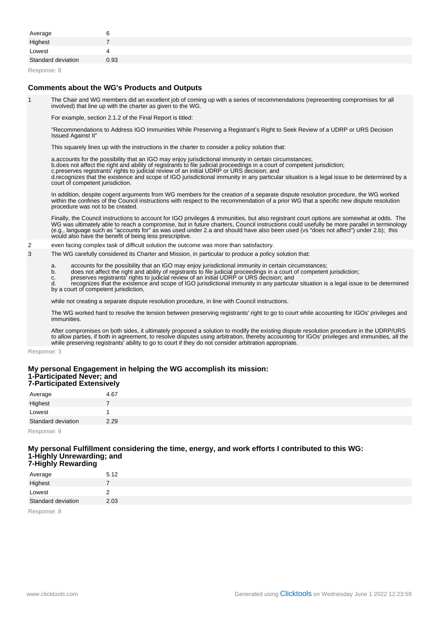| Average            |      |
|--------------------|------|
| Highest            |      |
| Lowest             |      |
| Standard deviation | 0.93 |

Response: 8

### **Comments about the WG's Products and Outputs**

1 The Chair and WG members did an excellent job of coming up with a series of recommendations (representing compromises for all involved) that line up with the charter as given to the WG.

For example, section 2.1.2 of the Final Report is titled:

"Recommendations to Address IGO Immunities While Preserving a Registrant's Right to Seek Review of a UDRP or URS Decision Issued Against It"

This squarely lines up with the instructions in the charter to consider a policy solution that:

- a. accounts for the possibility that an IGO may enjoy jurisdictional immunity in certain circumstances;
- b. does not affect the right and ability of registrants to file judicial proceedings in a court of competent jurisdiction;
- c. preserves registrants<sup>t</sup> rights to judicial review of an initial UDRP or URS decision; and

d. recognizes that the existence and scope of IGO jurisdictional immunity in any particular situation is a legal issue to be determined by a court of competent jurisdiction.

In addition, despite cogent arguments from WG members for the creation of a separate dispute resolution procedure, the WG worked within the confines of the Council instructions with respect to the recommendation of a prior WG that a specific new dispute resolution procedure was not to be created.

Finally, the Council instructions to account for IGO privileges & immunities, but also registrant court options are somewhat at odds. The WG was ultimately able to reach a compromise, but in future charters, Council instructions could usefully be more parallel in terminology (e.g., language such as "accounts for" as was used under 2.a and should have also been used (vs "does not affect") under 2.b); this would also have the benefit of being less prescriptive.

- 2 even facing complex task of difficult solution the outcome was more than satisfactory.
- 3 The WG carefully considered its Charter and Mission, in particular to produce a policy solution that:
	- a. accounts for the possibility that an IGO may enjoy jurisdictional immunity in certain circumstances;
	- b. does not affect the right and ability of registrants to file judicial proceedings in a court of competent jurisdiction;
	- c. preserves registrants' rights to judicial review of an initial UDRP or URS decision; and

d. recognizes that the existence and scope of IGO jurisdictional immunity in any particular situation is a legal issue to be determined by a court of competent jurisdiction,

while not creating a separate dispute resolution procedure, in line with Council instructions.

The WG worked hard to resolve the tension between preserving registrants' right to go to court while accounting for IGOs' privileges and immunities.

After compromises on both sides, it ultimately proposed a solution to modify the existing dispute resolution procedure in the UDRP/URS to allow parties, if both in agreement, to resolve disputes using arbitration, thereby accounting for IGOs' privileges and immunities, all the while preserving registrants' ability to go to court if they do not consider arbitration appropriate.

Response: 3

#### **My personal Engagement in helping the WG accomplish its mission: 1-Participated Never; and 7-Participated Extensively**

| Average            | 4.67 |
|--------------------|------|
| Highest            |      |
| Lowest             | 1    |
| Standard deviation | 2.29 |
|                    |      |

Response: 9

#### **My personal Fulfillment considering the time, energy, and work efforts I contributed to this WG: 1-Highly Unrewarding; and 7-Highly Rewarding**

| - -                | _    |
|--------------------|------|
| Average            | 5.12 |
| Highest            |      |
| Lowest             |      |
| Standard deviation | 2.03 |
| $\sim$<br>$\sim$   |      |

Response: 8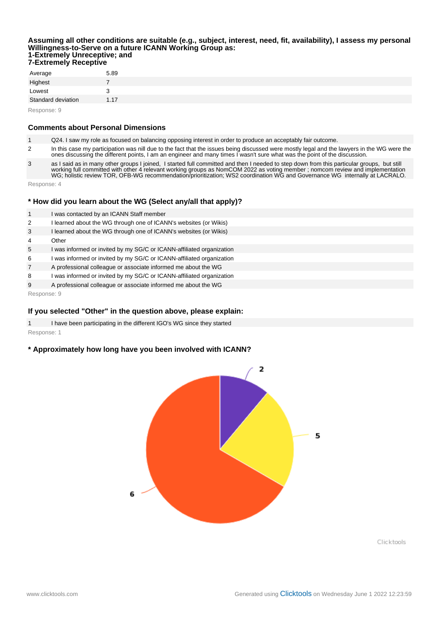#### **Assuming all other conditions are suitable (e.g., subject, interest, need, fit, availability), I assess my personal Willingness-to-Serve on a future ICANN Working Group as: 1-Extremely Unreceptive; and 7-Extremely Receptive**

| Average            | 5.89 |
|--------------------|------|
| Highest            | 7    |
| Lowest             | З    |
| Standard deviation | 1.17 |

Response: 9

### **Comments about Personal Dimensions**

1 Q24. I saw my role as focused on balancing opposing interest in order to produce an acceptably fair outcome.

2 In this case my participation was nill due to the fact that the issues being discussed were mostly legal and the lawyers in the WG were the ones discussing the different points, I am an engineer and many times I wasn't sure what was the point of the discussion.

3 as I said as in many other groups I joined, I started full committed and then I needed to step down from this particular groups, but still working full committed with other 4 relevant working groups as NomCOM 2022 as voting member ; nomcom review and implementation WG; holistic review TOR, OFB-WG recommendation/prioritization; WS2 coordination WG and Governance WG internally at LACRALO.

Response: 4

## **\* How did you learn about the WG (Select any/all that apply)?**

- 1 I was contacted by an ICANN Staff member
- 2 I learned about the WG through one of ICANN's websites (or Wikis)
- 3 I learned about the WG through one of ICANN's websites (or Wikis)
- 4 Other
- 5 I was informed or invited by my SG/C or ICANN-affiliated organization
- 6 I was informed or invited by my SG/C or ICANN-affiliated organization
- 7 A professional colleague or associate informed me about the WG
- 8 I was informed or invited by my SG/C or ICANN-affiliated organization
- 9 A professional colleague or associate informed me about the WG

Response: 9

### **If you selected "Other" in the question above, please explain:**

1 I have been participating in the different IGO's WG since they started Response: 1

## **\* Approximately how long have you been involved with ICANN?**



Clicktools